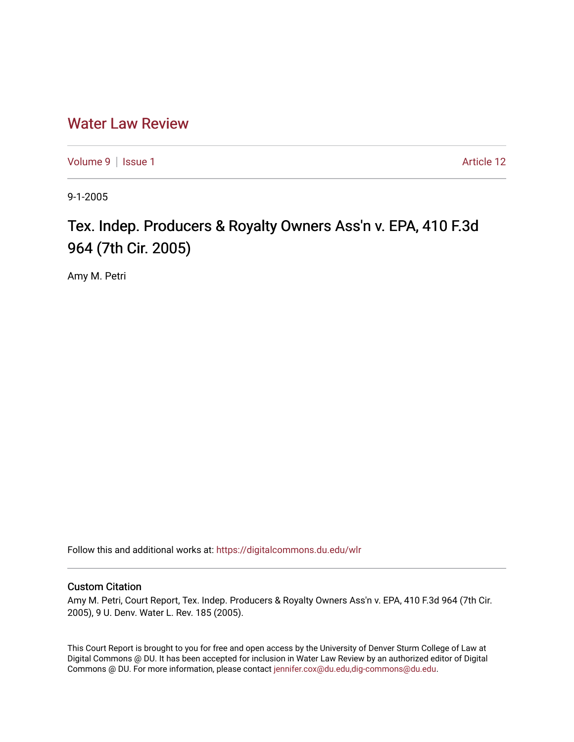## [Water Law Review](https://digitalcommons.du.edu/wlr)

[Volume 9](https://digitalcommons.du.edu/wlr/vol9) | [Issue 1](https://digitalcommons.du.edu/wlr/vol9/iss1) Article 12

9-1-2005

# Tex. Indep. Producers & Royalty Owners Ass'n v. EPA, 410 F.3d 964 (7th Cir. 2005)

Amy M. Petri

Follow this and additional works at: [https://digitalcommons.du.edu/wlr](https://digitalcommons.du.edu/wlr?utm_source=digitalcommons.du.edu%2Fwlr%2Fvol9%2Fiss1%2F12&utm_medium=PDF&utm_campaign=PDFCoverPages) 

### Custom Citation

Amy M. Petri, Court Report, Tex. Indep. Producers & Royalty Owners Ass'n v. EPA, 410 F.3d 964 (7th Cir. 2005), 9 U. Denv. Water L. Rev. 185 (2005).

This Court Report is brought to you for free and open access by the University of Denver Sturm College of Law at Digital Commons @ DU. It has been accepted for inclusion in Water Law Review by an authorized editor of Digital Commons @ DU. For more information, please contact [jennifer.cox@du.edu,dig-commons@du.edu.](mailto:jennifer.cox@du.edu,dig-commons@du.edu)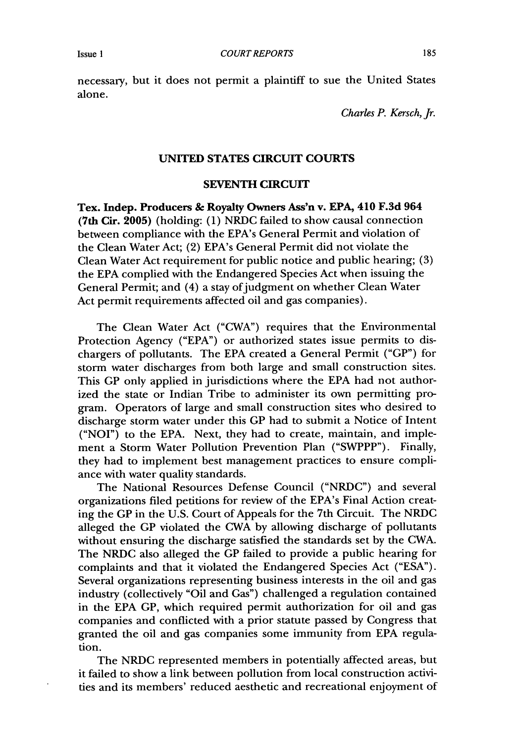necessary, but it does not permit a plaintiff to sue the United States alone.

*Charles P. Kersch, Jr.*

#### **UNITED STATES CIRCUIT COURTS**

#### **SEVENTH CIRCUIT**

**Tex. Indep. Producers & Royalty Owners Ass'n v. EPA, 410 F.3d 964 (7th Cir. 2005)** (holding: (1) NRDC failed to show causal connection between compliance with the EPA's General Permit and violation of the Clean Water Act; (2) EPA's General Permit did not violate the Clean Water Act requirement for public notice and public hearing; (3) the EPA complied with the Endangered Species Act when issuing the General Permit; and (4) a stay of judgment on whether Clean Water Act permit requirements affected oil and gas companies).

The Clean Water Act ("CWA") requires that the Environmental Protection Agency ("EPA") or authorized states issue permits to dischargers of pollutants. The EPA created a General Permit ("GP") for storm water discharges from both large and small construction sites. This GP only applied in jurisdictions where the EPA had not authorized the state or Indian Tribe to administer its own permitting program. Operators of large and small construction sites who desired to discharge storm water under this GP had to submit a Notice of Intent ("NOI") to the EPA. Next, they had to create, maintain, and implement a Storm Water Pollution Prevention Plan ("SWPPP"). Finally, they had to implement best management practices to ensure compliance with water quality standards.

The National Resources Defense Council ("NRDC") and several organizations filed petitions for review of the EPA's Final Action creating the GP in the U.S. Court of Appeals for the 7th Circuit. The NRDC alleged the GP violated the CWA by allowing discharge of pollutants without ensuring the discharge satisfied the standards set by the CWA. The NRDC also alleged the GP failed to provide a public hearing for complaints and that it violated the Endangered Species Act ("ESA"). Several organizations representing business interests in the oil and gas industry (collectively "Oil and Gas") challenged a regulation contained in the EPA GP, which required permit authorization for oil and gas companies and conflicted with a prior statute passed by Congress that granted the oil and gas companies some immunity from EPA regulation.

The NRDC represented members in potentially affected areas, but it failed to show a link between pollution from local construction activities and its members' reduced aesthetic and recreational enjoyment of